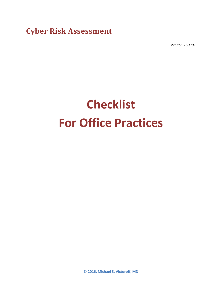*Version 160301*

# **Checklist For Office Practices**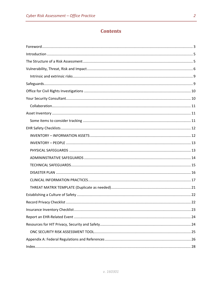# **Contents**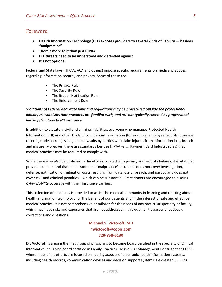# <span id="page-2-0"></span>Foreword

- **Health Information Technology (HIT) exposes providers to several kinds of liability — besides "malpractice"**
- **There's more to it than just HIPAA**
- **HIT threats need to be understood and defended against**
- **It's not optional**

Federal and State laws (HIPAA, ACA and others) impose specific requirements on medical practices regarding information security and privacy. Some of these are:

- The Privacy Rule
- The Security Rule
- The Breach Notification Rule
- The Enforcement Rule

# *Violations of Federal and State laws and regulations may be prosecuted outside the professional*  liability mechanisms that providers are familiar with, and are not typically covered by professional *liability ("malpractice") insurance.*

In addition to statutory civil and criminal liabilities, everyone who manages Protected Health Information (PHI) and other kinds of confidential information (for example, employee records, business records, trade secrets) is subject to lawsuits by parties who claim injuries from information loss, breach and misuse. Moreover, there are standards besides HIPAA (e.g., Payment Card Industry rules) that medical practices may be required to comply with.

While there may *also* be professional liability associated with privacy and security failures, it is vital that providers understand that most traditional "malpractice" insurance does not cover investigation, defense, notification or mitigation costs resulting from data loss or breach, and particularly does not cover civil and criminal penalties – which can be substantial. Practitioners are encouraged to discuss *Cyber Liability* coverage with their insurance carriers.

This collection of resources is provided to assist the medical community in learning and thinking about health information technology for the benefit of our patients and in the interest of safe and effective medical practice. It is not comprehensive or tailored for the needs of any particular specialty or facility, which may have risks and exposures that are not addressed in this outline. Please send feedback, corrections and questions.

# **Michael S. Victoroff, MD mvictoroff@copic.com 720-858-6130**

**Dr. Victoroff** is among the first group of physicians to become board certified in the specialty of Clinical Informatics (he is also board certified in Family Practice). He is a Risk Management Consultant at COPIC, where most of his efforts are focused on liability aspects of electronic health information systems, including health records, communication devices and decision support systems. He created COPIC's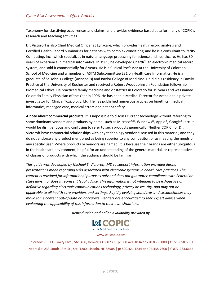Taxonomy for classifying occurrences and claims, and provides evidence-based data for many of COPIC's research and teaching activities.

Dr. Victoroff is also Chief Medical Officer at Lynxcare, which provides health record analysis and Certified Health Record Summaries for patients with complex conditions; and he is a consultant to Parity Computing, Inc., which specializes in natural language processing for science and healthcare. He has 30 years of experience in medical informatics. In 1989, he developed ChartR® , an electronic medical record system, and sold it commercially for 8 years. He is a Clinical Professor at the University of Colorado School of Medicine and a member of ASTM Subcommittee E31 on Healthcare Informatics. He is a graduate of St. John's College (Annapolis) and Baylor College of Medicine. He did his residency in Family Practice at the University of Rochester and received a Robert Wood Johnson Foundation fellowship in Biomedical Ethics. He practiced family medicine and obstetrics in Colorado for 19 years and was named Colorado Family Physician of the Year in 1996. He has been a Medical Director for Aetna and a private investigator for Clinical Toxicology, Ltd. He has published numerous articles on bioethics, medical informatics, managed care, medical errors and patient safety.

**A note about commercial products**. It is impossible to discuss current technology without referring to some dominant vendors and products by name, such as Microsoft®, Windows®, Apple®, Google®, etc. It would be disingenuous and confusing to refer to such products generically. Neither COPIC nor Dr. Victoroff have commercial relationships with any technology vendor discussed in this material; and they do not endorse any product mentioned as being superior to any competitor, or as meeting the needs of any specific user. Where products or vendors are named, it is because their brands are either ubiquitous in the healthcare environment, helpful for an understanding of the general material, or representative of classes of products with which the audience should be familiar.

*This guide was developed by Michael S. Victoroff, MD to support information provided during presentations made regarding risks associated with electronic systems in health care practices. The content is provided for informational purposes only and does not guarantee compliance with Federal or state laws; nor does it represent legal advice. This information is not intended to be exhaustive or definitive regarding electronic communications technology, privacy or security, and may not be applicable to all health care providers and settings. Rapidly evolving standards and circumstances may make some content out-of-date or inaccurate. Readers are encouraged to seek expert advice when evaluating the applicability of this information to their own situations.*

*Reproduction and online availability provided by*



www.callcopic.com

Colorado: 7351 E. Lowry Blvd., Ste. 400, Denver, CO 80230 | p: 800.421.1834 or 720.858.6000 | f: 720.858.6001 Nebraska: 233 South 13th St., Ste. 1200, Lincoln, NE 68508 | p: 800.421.1834 or 402.438.7600 | f: 877.263.6665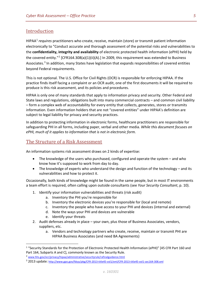# <span id="page-4-0"></span>Introduction

HIPAA[1](#page-4-2) *requires* practitioners who create, receive, maintain (store) or transmit patient information electronically to "Conduct accurate and thorough assessment of the potential risks and vulnerabilities to the **confidentiality, integrity and availability** of electronic protected health information (ePHI) held by the covered entity."<sup>[2](#page-4-3)</sup> [CFR164.308(a)(1)(ii)(A).] In 2009, this requirement was extended to Business Associates.<sup>[3](#page-4-4)</sup> In addition, many States have legislation that expands responsibilities of covered entities beyond Federal requirements.

This is not optional. The U.S. Office for Civil Rights (OCR) is responsible for enforcing HIPAA. If the practice finds itself facing a complaint or an OCR audit, one of the first documents it will be required to produce is this risk assessment, and its policies and procedures.

HIPAA is only one of many standards that apply to information privacy and security. Other Federal and State laws and regulations, obligations built into many commercial contracts – and common civil liability – form a complex web of accountability for every entity that collects, generates, stores or transmits information. Even information holders that are not "covered entities" under HIPAA's definition are subject to legal liability for privacy and security practices.

In addition to protecting information in electronic forms, healthcare practitioners are responsible for safeguarding PHI in all forms, including paper, verbal and other media. *While this document focuses on ePHI, much of it applies to information that is not in electronic form.*

# <span id="page-4-1"></span>The Structure of a Risk Assessment

An information systems risk assessment draws on 2 kinds of expertise:

- The knowledge of the users who purchased, configured and operate the system and who know how it's supposed to work from day to day.
- The knowledge of experts who understand the design and function of the technology and its vulnerabilities and how to protect it.

Occasionally, both kinds of knowledge might be found in the same people, but in most IT environments a team effort is required, often calling upon outside consultants (see *[Your Security Consultant](#page-9-1)*, p. [10\)](#page-9-1).

- 1. Identify your information vulnerabilities and threats (risk audit)
	- a. Inventory the PHI you're responsible for
	- b. Inventory the electronic devices you're responsible for (local and remote)
	- c. Inventory the people who have access to your PHI and devices (internal and external)
	- d. Note the ways your PHI and devices are vulnerable
	- e. Identify your threats
- 2. Audit defenses already in place your own, plus those of Business Associates, vendors, suppliers, etc.
	- a. Vendors and technology partners who create, receive, maintain or transmit PHI are HIPAA Business Associates (and need BA Agreements)

<span id="page-4-2"></span> <sup>1</sup> "Security Standards for the Protection of Electronic Protected Health Information (ePHI)" [45 CFR Part 160 and Part 164, Subparts A and C], commonly known as the Security Rule.

<span id="page-4-3"></span><sup>&</sup>lt;sup>2</sup> [www.hhs.gov/ocr/privacy/hipaa/administrative/securityrule/rafinalguidance.html](http://www.hhs.gov/ocr/privacy/hipaa/administrative/securityrule/rafinalguidance.html)

<span id="page-4-4"></span><sup>3</sup> 2013 update:<http://www.gpo.gov/fdsys/pkg/CFR-2013-title45-vol1/xml/CFR-2013-title45-vol1-sec164-308.xml>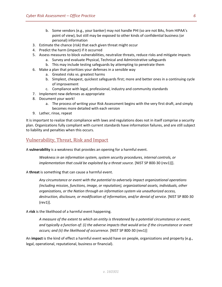- b. Some vendors (e.g., your banker) may not handle PHI (so are not BAs, from HIPAA's point of view), but still may be exposed to other kinds of confidential business (or personal) information
- 3. Estimate the chance (risk) that each given threat might occur
- 4. Predict the harm (impact) if it occurred
- 5. Assess measures to block vulnerabilities, neutralize threats, reduce risks and mitigate impacts
	- a. Survey and evaluate Physical, Technical and Administrative safeguards
	- b. This may include testing safeguards by attempting to penetrate them
- 6. Make a plan that prioritizes your defenses in a sensible way
	- a. Greatest risks vs. greatest harms
	- b. Simplest, cheapest, quickest safeguards first; more and better ones in a continuing cycle of improvement
	- c. Compliance with legal, professional, industry and community standards
- 7. Implement new defenses as appropriate
- 8. Document your work!
	- a. The process of writing your Risk Assessment begins with the very first draft, and simply becomes more detailed with each version
- 9. Lather, rinse, repeat

It is important to realize that compliance with laws and regulations does not in itself comprise a security plan. Organizations fully compliant with current standards have information failures, and are still subject to liability and penalties when this occurs.

# <span id="page-5-0"></span>Vulnerability, Threat, Risk and Impact

A **vulnerability** is a weakness that provides an opening for a harmful event.

*Weakness in an information system, system security procedures, internal controls, or implementation that could be exploited by a threat source.* [NIST SP 800-30 (rev1)]].

A **threat** is something that can cause a harmful event.

*Any circumstance or event with the potential to adversely impact organizational operations (including mission, functions, image, or reputation), organizational assets, individuals, other organizations, or the Nation through an information system via unauthorized access,*  destruction, disclosure, or modification of information, and/or denial of service. [NIST SP 800-30 (rev1)].

A **risk** is the likelihood of a harmful event happening.

*A measure of the extent to which an entity is threatened by a potential circumstance or event, and typically a function of: (i) the adverse impacts that would arise if the circumstance or event occurs; and (ii) the likelihood of occurrence.* [NIST SP 800-30 (rev1)]

An **impact** is the kind of effect a harmful event would have on people, organizations and property (e.g., legal, operational, reputational, business or financial).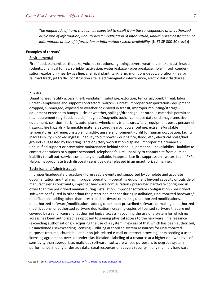*The magnitude of harm that can be expected to result from the consequences of unauthorized disclosure of information, unauthorized modification of information, unauthorized destruction of information, or loss of information or information system availability.* [NIST SP 800-30 (rev1)]

#### **Examples of threats[4](#page-6-0)**

#### **Environmental**

Fire, flood, tsunami, earthquake, volcanic eruptions, lightning, severe weather, smoke, dust, insects, rodents, chemical fumes, sprinkler activation, water leakage - pipe breakage, hole in roof, condensation, explosion - nearby gas line, chemical plant, tank farm, munitions depot, vibration - nearby railroad track, jet traffic, construction site, electromagnetic interference, electrostatic discharge.

#### Physical

Unauthorized facility access, theft, vandalism, sabotage, extortion, terrorism/bomb threat, labor unrest - employees and support contractors, war/civil unrest, improper transportation - equipment dropped, submerged, exposed to weather or x-rayed in transit, improper mounting/storage equipment exposed to bumps, kicks or weather, spillage/droppage - hazardous materials permitted near equipment (e.g. food, liquids), magnets/magnetic tools - can erase data or damage sensitive equipment, collision - fork lift, auto, plane, wheelchair, trip hazards/falls - equipment poses personnel hazards, fire hazards - flammable materials stored nearby, power outage, extreme/unstable temperatures, extreme/unstable humidity, unsafe environment - unfit for human occupation, facility inaccessibility - blocked ingress, inability to cut power - during fire, flood, etc., electrical noise/bad ground - suggested by flickering lights or jittery workstation displays, improper maintenance unqualified support or preventive maintenance behind schedule, personnel unavailability - inability to contact operations or support personnel, telephone failure - inability to contact site from outside, inability to call out, service completely unavailable, inappropriate fire suppression - water, foam, PKP, Halon, inappropriate trash disposal - sensitive data released in an unauthorized manner.

#### Technical and Administrative

Improper/inadequate procedure - foreseeable events not supported by complete and accurate documentation and training, improper operation - operating equipment beyond capacity or outside of manufacturer's constraints, improper hardware configuration - prescribed hardware configured in other than the prescribed manner during installation, improper software configuration - prescribed software configured in other than the prescribed manner during installation, unauthorized hardware/ modification - adding other-than-prescribed hardware or making unauthorized modifications, unauthorized software/modification - adding other-than-prescribed software or making unauthorized modifications, unauthorized software duplication - creating copies of licensed software that are not covered by a valid license, unauthorized logical access - acquiring the use of a system for which no access has been authorized (as opposed to gaining physical access to the hardware), malfeasance (exceeding authorizations) - acquiring the use of a system in excess of that which has been authorized, unsanctioned use/exceeding licensing - utilizing authorized system resources for unauthorized purposes (resume, church bulletin, non-job-related e-mail or internet browsing) or exceeding a user licensing agreement, over- or under-classification - labeling of a resource at a higher or lower level of sensitivity than appropriate, malicious software - software whose purpose is to degrade system performance, modify or destroy data, steal resources or subvert security in any manner, hardware

<span id="page-6-0"></span><sup>&</sup>lt;sup>4</sup> Adapted fro[m http://www.hq.nasa.gov/security/it\\_threats\\_vulnerabilities.htm](http://www.hq.nasa.gov/security/it_threats_vulnerabilities.htm)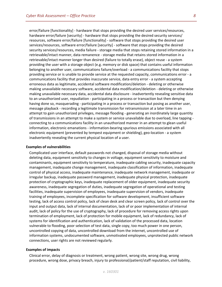error/failure [functionality] - hardware that stops providing the desired user services/resources, hardware error/failure [security] - hardware that stops providing the desired security services/ resources, software error/failure [functionality] - software that stops providing the desired user services/resources, software error/failure [security] - software that stops providing the desired security services/resources, media failure - storage media that stops retaining stored information in a retrievable/intact manner, data remanence - storage media that retains stored information in a retrievable/intact manner longer than desired (failure to totally erase), object reuse - a system providing the user with a storage object (e.g. memory or disk space) that contains useful information belonging to another user, communications failure/overload - a communications facility that stops providing service or is unable to provide service at the requested capacity, communications error - a communications facility that provides inaccurate service, data entry error - a system accepting erroneous data as legitimate, accidental software modification/deletion - deleting or otherwise making unavailable necessary software, accidental data modification/deletion - deleting or otherwise making unavailable necessary data, accidental data disclosure - inadvertently revealing sensitive data to an unauthorized user, repudiation - participating in a process or transaction but then denying having done so, masquerading - participating in a process or transaction but posing as another user, message playback - recording a legitimate transmission for retransmission at a later time in an attempt to gain unauthorized privileges, message flooding - generating an inordinately large quantity of transmissions in an attempt to make a system or service unavailable due to overload, line tapping connecting to a communications facility in an unauthorized manner in an attempt to glean useful information, electronic emanations - information-bearing spurious emissions associated with all electronic equipment (prevented by tempest equipment or shielding), geo-location - a system inadvertently revealing the current physical location of a user.

#### **Examples of vulnerabilities**

[Complicated user interface,](http://wiki.iso27001standard.com/index.php?title=Complicated_user_interface) [default passwords not changed,](http://wiki.iso27001standard.com/index.php?title=Default_passwords_not_changed) disposal of storage media without deleting data, equipment sensitivity to changes in voltage, equipment sensitivity to moisture and contaminants, equipment sensitivity to temperature, inadequate cabling security, inadequate capacity management, inadequate change management, inadequate classification of information, inadequate control of physical access, inadequate maintenance, inadequate network management, inadequate or irregular backup, inadequate password management, inadequate physical protection, inadequate protection of cryptographic keys, inadequate replacement of older equipment, inadequate security awareness, inadequate segregation of duties, inadequate segregation of operational and testing facilities, inadequate supervision of employees, inadequate supervision of vendors, inadequate training of employees, incomplete specification for software development, insufficient software testing, lack of access control policy, lack of clean desk and clear screen policy, lack of control over the input and output data, lack of internal documentation, lack of or poor implementation of internal audit, lack of policy for the use of cryptography, lack of procedure for removing access rights upon termination of employment, lack of protection for mobile equipment, lack of redundancy, lack of systems for identification and authentication, lack of validation of the processed data, location vulnerable to flooding, poor selection of test data, single copy, too much power in one person, uncontrolled copying of data, uncontrolled download from the internet, uncontrolled use of information systems, undocumented software, unmotivated employees, unprotected public network connections, user rights are not reviewed regularly.

#### **Examples of impacts**

Clinical error, delay of diagnosis or treatment, wrong patient, wrong site, wrong drug, wrong procedure, wrong dose, privacy breach, injury to professional/patient/staff reputation, civil liability,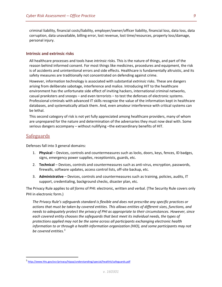criminal liability, financial costs/liability, employer/owner/officer liability, financial loss, data loss, data corruption, data unavailable, billing error, lost revenue, lost time/resources, property loss/damage, personal injury.

#### <span id="page-8-0"></span>**Intrinsic and extrinsic risks**

All healthcare processes and tools have *intrinsic* risks. This is the nature of things, and part of the reason behind informed consent. For most things like medicines, procedures and equipment, the risk is of accidents and unintentional errors and side effects. Healthcare is fundamentally altruistic, and its safety measures are traditionally not concentrated on defending against crime.

However, information technology is associated with substantial *extrinsic* risks. These are dangers arising from deliberate sabotage, interference and malice. Introducing HIT to the healthcare environment has the unfortunate side effect of inviting hackers, international criminal networks, casual pranksters and snoops – and even terrorists – to test the defenses of electronic systems. Professional criminals with advanced IT skills recognize the value of the information kept in healthcare databases, and systematically attack them. And, even amateur interference with critical systems can be lethal.

This second category of risk is not yet fully appreciated among healthcare providers, many of whom are unprepared for the nature and determination of the adversaries they must now deal with. Some serious dangers accompany – without nullifying –the extraordinary benefits of HIT.

## <span id="page-8-1"></span>**Safeguards**

Defenses fall into 3 general domains:

- 1. **Physical** Devices, controls and countermeasures such as locks, doors, keys, fences, ID badges, signs, emergency power supplies, receptionists, guards, etc.
- 2. **Technical** Devices, controls and countermeasures such as anti-virus, encryption, passwords, firewalls, software updates, access control lists, off-site backup, etc.
- 3. **Administrative** Devices, controls and countermeasures such as training, policies, audits, IT support, credentialing, background checks, disaster plan, etc.

The Privacy Rule applies to *all forms* of PHI: electronic, written and verbal. (The Security Rule covers only PHI in electronic form.)

*The Privacy Rule's safeguards standard is flexible and does not prescribe any specific practices or actions that must be taken by covered entities. This allows entities of different sizes, functions, and needs to adequately protect the privacy of PHI as appropriate to their circumstances. However, since each covered entity chooses the safeguards that best meet its individual needs, the types of protections applied may not be the same across all participants exchanging electronic health information to or through a health information organization (HIO), and some participants may not be covered entities.[5](#page-8-2)*

<span id="page-8-2"></span> <sup>5</sup> <http://www.hhs.gov/ocr/privacy/hipaa/understanding/special/healthit/safeguards.pdf>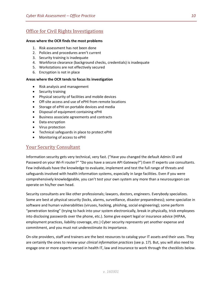# <span id="page-9-0"></span>Office for Civil Rights Investigations

#### **Areas where the OCR finds the most problems**

- 1. Risk assessment has not been done
- 2. Policies and procedures aren't current
- 3. Security training is inadequate
- 4. Workforce clearance (background checks, credentials) is inadequate
- 5. Workstations are not effectively secured
- 6. Encryption is not in place

#### **Areas where the OCR tends to focus its investigation**

- Risk analysis and management
- Security training
- Physical security of facilities and mobile devices
- Off-site access and use of ePHI from remote locations
- Storage of ePHI on portable devices and media
- Disposal of equipment containing ePHI
- Business associate agreements and contracts
- Data encryption
- Virus protection
- Technical safeguards in place to protect ePHI
- Monitoring of access to ePHI

# <span id="page-9-1"></span>Your Security Consultant

Information security gets very technical, very fast. ("Have you changed the default Admin ID and Password on your Wi-Fi router?" "Do you have a secure API Gateway?") Even IT experts use consultants. Few individuals have the knowledge to evaluate, implement and test the full range of threats and safeguards involved with health information systems, especially in large facilities. Even if you were comprehensively knowledgeable, you can't test your own system any more than a neurosurgeon can operate on his/her own head.

Security consultants are like other professionals; lawyers, doctors, engineers. Everybody specializes. Some are best at physical security (locks, alarms, surveillance, disaster preparedness); some specialize in software and human vulnerabilities (viruses, hacking, phishing, social engineering); some perform "penetration testing" (trying to hack into your system electronically, break in physically, trick employees into disclosing passwords over the phone, etc.). Some give expert legal or insurance advice (HIPAA, employment practices, liability coverage, etc.) Cyber security represents yet another expense and commitment, and you must not underestimate its importance.

On-site providers, staff and trainers are the best resources to catalog your IT assets and their uses. They are certainly the ones to review your *clinical information practices* (see p. [17\)](#page-16-1). But, you will also need to engage one or more experts versed in health IT, law and insurance to work through the checklists below.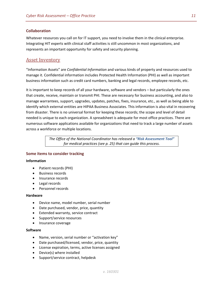## <span id="page-10-0"></span>**Collaboration**

Whatever resources you call on for IT support, you need to involve them in the clinical enterprise. Integrating HIT experts with clinical staff activities is still uncommon in most organizations, and represents an important opportunity for safety and security planning.

# <span id="page-10-1"></span>Asset Inventory

"Information Assets" are *Confidential Information* and various kinds of property and resources used to manage it. Confidential information includes Protected Health Information (PHI) as well as important business information such as credit card numbers, banking and legal records, employee records, etc.

It is important to keep records of all your hardware, software and vendors – but particularly the ones that create, receive, maintain or transmit PHI. These are necessary for business accounting, and also to manage warrantees, support, upgrades, updates, patches, fixes, insurance, etc., as well as being able to identify which external entities are HIPAA Business Associates. This information is also vital in recovering from disaster. There is no universal format for keeping these records; the scope and level of detail needed is unique to each organization. A spreadsheet is adequate for most office practices. There are numerous software applications available for organizations that need to track a large number of assets across a workforce or multiple locations.

> *The Office of the National Coordinator has released a ["Risk Assessment Tool"](#page-24-1) for medical practices (see p. [25\)](#page-24-1) that can guide this process.*

## <span id="page-10-2"></span>**Some items to consider tracking**

#### **Information**

- Patient records (PHI)
- Business records
- Insurance records
- Legal records
- Personnel records

#### **Hardware**

- Device name, model number, serial number
- Date purchased, vendor, price, quantity
- Extended warranty, service contract
- Support/service resources
- Insurance coverage

#### **Software**

- Name, version, serial number or "activation key"
- Date purchased/licensed, vendor, price, quantity
- License expiration, terms, active licenses assigned
- Device(s) where installed
- Support/service contract, helpdesk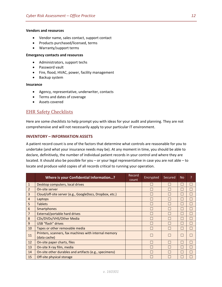#### **Vendors and resources**

- Vendor name, sales contact, support contact
- Products purchased/licensed, terms
- Warranty/support terms

#### **Emergency contacts and resources**

- Administrators, support techs
- Password vault
- Fire, flood, HVAC, power, facility management
- Backup system

## **Insurance**

- Agency, representative, underwriter, contacts
- Terms and dates of coverage
- Assets covered

# <span id="page-11-0"></span>EHR Safety Checklists

Here are some checklists to help prompt you with ideas for your audit and planning. They are not comprehensive and will not necessarily apply to your particular IT environment.

## <span id="page-11-1"></span>**INVENTORY – INFORMATION ASSETS**

A patient record count is one of the factors that determine what controls are reasonable for you to undertake (and what your insurance needs may be). At any moment in time, you should be able to declare, definitively, the number of individual patient records in your control and where they are located. It should also be possible for you – or your legal representative in case you are not able – to locate and produce valid copies of all records critical to running your operation.

|                | Where is your Confidential Information?                               | Record<br>count | Encrypted | Secured | <b>No</b> | ? |
|----------------|-----------------------------------------------------------------------|-----------------|-----------|---------|-----------|---|
| $\mathbf{1}$   | Desktop computers, local drives                                       |                 |           |         |           | L |
| 2              | On-site server                                                        |                 |           |         |           | L |
| $\overline{3}$ | Cloud/off-site server (e.g., GoogleDocs, Dropbox, etc.)               |                 |           |         |           | L |
| $\overline{4}$ | Laptops                                                               |                 |           |         |           |   |
| 5              | <b>Tablets</b>                                                        |                 |           |         |           |   |
| 6              | Smartphones                                                           |                 |           |         |           | Г |
| $\overline{7}$ | External/portable hard drives                                         |                 |           |         |           | L |
| 8              | CDs/DVDs/VHS/Other Media                                              |                 |           |         |           | L |
| 9              | USB "flash" drives                                                    |                 |           |         |           |   |
| 10             | Tapes or other removable media                                        |                 |           |         |           |   |
| 11             | Printers, scanners, fax machines with internal memory<br>(data cache) |                 |           |         |           |   |
| 12             | On-site paper charts, files                                           |                 |           |         |           |   |
| 13             | On-site X-ray film, media                                             |                 |           |         |           |   |
| 14             | On-site other durables and artifacts (e.g., specimens)                |                 |           |         |           |   |
| 15             | Off-site physical storage                                             |                 |           |         |           |   |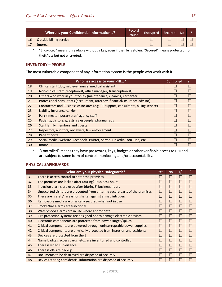|           | Where is your Confidential Information? | Record<br>count | Encrypted | 'Secured | <b>No</b> | $\overline{\phantom{a}}$ |
|-----------|-----------------------------------------|-----------------|-----------|----------|-----------|--------------------------|
| <b>16</b> | Outside billing service                 |                 |           |          |           |                          |
| 17        | 'more)                                  |                 |           |          |           |                          |

\* "Encrypted" means unreadable without a key, even if the file is stolen. "Secured" means protected from theft/loss but not encrypted.

## <span id="page-12-0"></span>**INVENTORY – PEOPLE**

The most vulnerable component of any information system is the people who work with it.

|    | Who has access to your PHI?                                                          | Controlled   | P |
|----|--------------------------------------------------------------------------------------|--------------|---|
| 18 | Clinical staff (doc, midlevel, nurse, medical assistant)                             |              |   |
| 19 | Non-clinical staff (receptionist, office manager, transcriptionist)                  |              |   |
| 20 | Others who work in your facility (maintenance, cleaning, carpenter)                  |              |   |
| 21 | Professional consultants (accountant, attorney, financial/insurance advisor)         |              |   |
| 22 | Contractors and Business Associates (e.g., IT support, consultants, billing service) |              |   |
| 23 | Liability insurance carrier                                                          |              |   |
| 24 | Part-time/temporary staff, agency staff                                              | $\mathbf{I}$ |   |
| 25 | Patients, visitors, guests, salespeople, pharma reps                                 |              |   |
| 26 | Staff family members and guests                                                      |              |   |
| 27 | Inspectors, auditors, reviewers, law enforcement                                     |              |   |
| 28 | Patient portal                                                                       |              |   |
| 29 | Social media (website, Facebook, Twitter, Sermo, LinkedIn, YouTube, etc.)            |              |   |
| 30 | (more)                                                                               |              |   |

\* "Controlled" means they have passwords, keys, badges or other verifiable access to PHI and are subject to some form of control, monitoring and/or accountability.

## <span id="page-12-1"></span>**PHYSICAL SAFEGUARDS**

|    | What are your physical safeguards?                                           | Yes | <b>No</b> | $+/-$ | P      |
|----|------------------------------------------------------------------------------|-----|-----------|-------|--------|
| 31 | There is access control to enter the premises                                |     | П         | L     | $\Box$ |
| 32 | The premises are locked after (during?) business hours                       |     | П         | Г     | П      |
| 33 | Intrusion alarms are used after (during?) business hours                     |     | П         | L     | П      |
| 34 | Unescorted visitors are prevented from entering secure parts of the premises | L   | П         | Г     | П      |
| 35 | There are "safety" areas for shelter against armed intruders                 | L   | П         |       | П      |
| 36 | Removable media are physically secured when not in use                       |     | $\Box$    |       | П      |
| 37 | Smoke/fire alarms are functional                                             |     | П         |       | П      |
| 38 | Water/flood alarms are in use where appropriate                              |     | П         | L     | П      |
| 39 | Fire protection systems are designed not to damage electronic devices        |     | П         | L     | П      |
| 40 | Electronic components are protected from power surges/spikes                 | L   | П         | L     | П      |
| 41 | Critical components are powered through uninterruptable power supplies       | L.  | П         | Г     | П      |
| 42 | Critical components are physically protected from intrusion and accidents    |     | П         | L     | П      |
| 43 | Devices are protected from theft                                             |     | П         | L     | П      |
| 44 | Name badges, access cards, etc., are inventoried and controlled              |     | П         | Г     | П      |
| 45 | There is video surveillance                                                  |     | П         | Г     | П      |
| 46 | There is off-site backup                                                     |     | П         | Г     | П      |
| 47 | Documents to be destroyed are disposed of securely                           |     | П         | Г     | П      |
| 48 | Devices storing confidential information are disposed of securely            |     |           |       |        |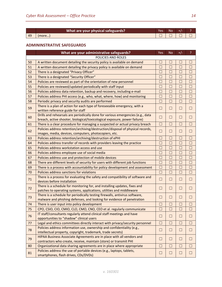|    | What are your physical safeguards? | Va<br>e: | NC |  |
|----|------------------------------------|----------|----|--|
| 49 | more…                              |          |    |  |

### <span id="page-13-0"></span>**ADMININSTRATIVE SAFEGUARDS**

|        | What are your administrative safeguards?                                                                                              | Yes           | <b>No</b> | $+/-$  | ?      |
|--------|---------------------------------------------------------------------------------------------------------------------------------------|---------------|-----------|--------|--------|
|        | POLICIES AND ROLES                                                                                                                    |               |           |        |        |
| 50     | A written document detailing the security policy is available on demand                                                               | $\mathcal{A}$ | $\Box$    | П      | П      |
| 51     | A written document detailing the privacy policy is available on demand                                                                | $\Box$        | $\Box$    | $\Box$ | $\Box$ |
| 52     | There is a designated "Privacy Officer"                                                                                               | $\Box$        | $\Box$    | $\Box$ | $\Box$ |
| 53     | There is a designated "Security Officer"                                                                                              | П             | $\Box$    | $\Box$ | $\Box$ |
| 54     | Policies are reviewed as part of the orientation of new personnel                                                                     | П             | $\Box$    | $\Box$ | $\Box$ |
| 55     | Policies are reviewed/updated periodically with staff input                                                                           | $\Box$        | $\Box$    | $\Box$ | $\Box$ |
| 56     | Policies address data retention, backup and recovery, including e-mail                                                                | $\Box$        | $\Box$    | $\Box$ | $\Box$ |
| 57     | Policies address PHI access (e.g., who, what, where, how) and monitoring                                                              | $\Box$        | $\Box$    | $\Box$ | $\Box$ |
| 58     | Periodic privacy and security audits are performed                                                                                    | $\Box$        | $\Box$    | $\Box$ | $\Box$ |
| 59     | There is a plan of action for each type of foreseeable emergency, with a                                                              | $\Box$        | $\Box$    | $\Box$ | $\Box$ |
|        | written reference guide for staff                                                                                                     |               |           |        |        |
| 60     | Drills and rehearsals are periodically done for various emergencies (e.g., data                                                       | П             | $\Box$    | $\Box$ | П      |
|        | breach, active shooter, biological/toxicological exposure, power failure)                                                             |               |           |        |        |
| 61     | There is a clear procedure for managing a suspected or actual privacy breach                                                          | $\Box$        | $\Box$    | $\Box$ | П      |
| 62     | Policies address retention/archiving/destruction/disposal of physical records,                                                        | $\Box$        | $\Box$    | $\Box$ | $\Box$ |
|        | images, media, devices, computers, photocopiers, etc.                                                                                 |               |           |        |        |
| 63     | Policies address retention/archiving/destruction of ePHI                                                                              | П             | $\Box$    | $\Box$ | $\Box$ |
| 64     | Policies address transfer of records with providers leaving the practice                                                              | П             | $\Box$    | $\Box$ | $\Box$ |
| 65     | Policies address workstation access and use                                                                                           | П             | $\Box$    | $\Box$ | $\Box$ |
| 66     | Policies address employee use of social media                                                                                         | П             | $\Box$    | $\Box$ | $\Box$ |
| 67     | Policies address use and protection of mobile devices                                                                                 | П             | $\Box$    | $\Box$ | $\Box$ |
| 68     | There are different levels of security for users with different job functions                                                         | П             | $\Box$    | $\Box$ | $\Box$ |
| 69     | There is a process with accountability for policy development and assessment                                                          | $\Box$        | $\Box$    | $\Box$ | $\Box$ |
| 70     | Policies address sanctions for violations                                                                                             | $\Box$        | $\Box$    | $\Box$ | $\Box$ |
| $71\,$ | There is a process for evaluating the safety and compatibility of software and<br>devices before installation                         | $\Box$        | $\Box$    | $\Box$ | $\Box$ |
| 72     | There is a schedule for monitoring for, and installing updates, fixes and                                                             | $\Box$        | $\Box$    | $\Box$ | $\Box$ |
|        | patches to operating systems, applications, utilities and middleware                                                                  |               |           |        |        |
| 73     | There is a schedule for periodically testing firewalls, antivirus software,                                                           | $\Box$        | $\Box$    | $\Box$ | $\Box$ |
|        | malware and phishing defenses, and looking for evidence of penetration                                                                |               |           |        |        |
| 74     | There is user input into policy development                                                                                           | П             | $\Box$    | $\Box$ | П      |
| 75     | CPO, CSIO, CIO, CMIO, CLO, CMO, CNO, CEO et al. regularly communicate                                                                 | m.            | П         | П      | П      |
| 76     | IT staff/consultants regularly attend clinical staff meetings and have                                                                | $\Box$        | $\Box$    | $\Box$ | $\Box$ |
|        | opportunities to "shadow" clinical users                                                                                              |               |           |        |        |
| 77     | Legal and ethics committees directly interact with privacy/security personnel                                                         | $\Box$        | $\Box$    | $\Box$ | $\Box$ |
| 78     | Policies address information use, ownership and confidentiality (e.g.,<br>intellectual property, copyright, trademark, trade secrets) | $\Box$        | $\Box$    | $\Box$ | $\Box$ |
| 79     | HIPAA Business Associate Agreements are in place with all vendors and                                                                 | $\Box$        | $\Box$    | $\Box$ | $\Box$ |
|        | contractors who create, receive, maintain (store) or transmit PHI                                                                     |               |           |        |        |
| 80     | Organizational data sharing agreements are in place where appropriate                                                                 | $\Box$        | $\Box$    | $\Box$ | $\Box$ |
| 81     | Policies address the use of portable devices (e.g., laptops, tablets,<br>smartphones, flash drives, CDs/DVDs)                         | $\Box$        | $\Box$    | $\Box$ | $\Box$ |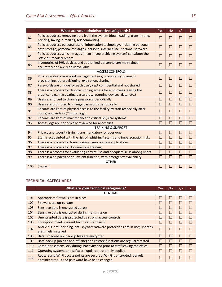|     | What are your administrative safeguards?                                                                                                                 | Yes                      | <b>No</b> | $+/-$  | P                 |
|-----|----------------------------------------------------------------------------------------------------------------------------------------------------------|--------------------------|-----------|--------|-------------------|
| 82  | Policies address removing data from the system (downloading, transmitting,<br>printing, faxing, e-mailing, telecommuting)                                | $\Box$                   | П         | П      | П                 |
| 83  | Policies address personal use of information technology, including personal<br>data storage, personal messages, personal internet use, personal software | $\overline{\phantom{a}}$ | □         | $\Box$ | $\Box$            |
| 84  | Policies address which images (in an image archiving system) constitute the<br>"official" medical record                                                 | П                        | П         | $\Box$ | $\vert \ \ \vert$ |
| 85  | Inventories of PHI, devices and authorized personnel are maintained<br>accurately and are readily available                                              | ×.                       | П         | П      |                   |
|     | <b>ACCESS CONTROLS</b>                                                                                                                                   |                          |           |        |                   |
| 86  | Policies address password management (e.g., complexity, strength<br>provisioning, de-provisioning, expiration, sharing)                                  | П                        | П         | $\Box$ | П                 |
| 87  | Passwords are unique for each user, kept confidential and not shared                                                                                     | □                        | $\Box$    | П      | П                 |
| 88  | There is a process for de-provisioning access for employees leaving the<br>practice (e.g., inactivating passwords, returning devices, data, etc.)        | $\mathbb{R}^n$           | П         | П      | □                 |
| 89  | Users are forced to change passwords periodically                                                                                                        | П                        | П         | П      | П                 |
| 90  | Users are prompted to change passwords periodically                                                                                                      | $\Box$                   | $\Box$    | $\Box$ | $\Box$            |
| 91  | Records are kept of physical access to the facility by staff (especially after<br>hours) and visitors ("Visitor Log")                                    | П                        | $\Box$    | $\Box$ | П                 |
| 92  | Records are kept of maintenance to critical physical systems                                                                                             | $\Box$                   | П         | $\Box$ | П                 |
| 93  | Access logs are periodically reviewed for anomalies                                                                                                      | П                        | П         | $\Box$ | П                 |
|     | <b>TRAINING &amp; SUPPORT</b>                                                                                                                            |                          |           |        |                   |
| 94  | Privacy and security training are mandatory for everyone                                                                                                 | П                        | П         | $\Box$ | $\Box$            |
| 95  | Staff is acquainted with the risk of "phishing" scams and impersonation risks                                                                            | П                        | П         | П      | П                 |
| 96  | There is a process for training employees on new applications                                                                                            | $\Box$                   | П         | П      | П                 |
| 97  | There is a process for documenting training                                                                                                              | П                        | П         | П      | П                 |
| 98  | There is a process for evaluating correct use and adequate skills among users                                                                            |                          |           | n.     | Г                 |
| 99  | There is a helpdesk or equivalent function, with emergency availability                                                                                  |                          |           | П      | П                 |
|     | <b>OTHER</b>                                                                                                                                             |                          |           |        |                   |
| 100 | (more)                                                                                                                                                   |                          |           |        |                   |

# <span id="page-14-0"></span>**TECHNICAL SAFEGUARDS**

|     | What are your technical safeguards?                                                                                         | Yes | No                       | $+/-$ | ς      |  |  |
|-----|-----------------------------------------------------------------------------------------------------------------------------|-----|--------------------------|-------|--------|--|--|
|     | <b>GENERAL</b>                                                                                                              |     |                          |       |        |  |  |
| 101 | Appropriate firewalls are in place                                                                                          |     | $\mathbf{L}$             |       | $\Box$ |  |  |
| 102 | Firewalls are up-to-date                                                                                                    |     | Г                        |       | □      |  |  |
| 103 | Sensitive data is encrypted at rest                                                                                         |     | L.                       |       |        |  |  |
| 104 | Sensitive data is encrypted during transmission                                                                             |     | $\overline{\phantom{0}}$ | L.    | H      |  |  |
| 105 | Unencrypted data is protected by strong access controls                                                                     |     | $\overline{\phantom{0}}$ |       | H      |  |  |
| 106 | Encryption meets current technical standards                                                                                |     | L                        |       |        |  |  |
| 107 | Anti-virus, anti-phishing, anti-spyware/adware protections are in use; updates<br>are timely installed                      |     | П                        |       |        |  |  |
| 108 | Data is backed up; backup files are encrypted                                                                               |     | $\Box$                   | H     | П      |  |  |
| 109 | Data backup (on-site and off-site) and restore functions are regularly tested                                               |     | $\Box$                   | L.    | $\Box$ |  |  |
| 110 | Computer screens lock during inactivity and prior to staff leaving the office                                               |     | П                        |       |        |  |  |
| 111 | Operating systems and software updates are timely applied                                                                   |     | L.                       |       |        |  |  |
| 112 | Routers and Wi-Fi access points are secured; Wi-Fi is encrypted; default<br>administrator ID and password have been changed |     | Г                        |       |        |  |  |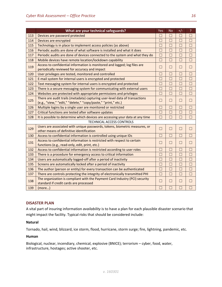|     | What are your technical safeguards?                                                                                                          | Yes    | <b>No</b> | $+/-$  | P      |
|-----|----------------------------------------------------------------------------------------------------------------------------------------------|--------|-----------|--------|--------|
| 113 | Devices are password protected                                                                                                               | П      | $\Box$    | $\Box$ | $\Box$ |
| 114 | Devices are encrypted                                                                                                                        | П      | $\Box$    | П      | П      |
| 115 | Technology is in place to implement access policies (as above)                                                                               | П      | $\Box$    | П      | П      |
| 116 | Periodic audits are done of what software is installed and what it does                                                                      | П      | $\Box$    | П      | $\Box$ |
| 117 | Periodic audits are done of devices connected to the system and what they do                                                                 | $\Box$ | $\Box$    | $\Box$ | $\Box$ |
| 118 | Mobile devices have remote location/lockdown capability                                                                                      | $\Box$ | П         | П      | $\Box$ |
| 119 | Access to confidential information is monitored and logged; log files are<br>periodically reviewed for accuracy and impact                   | П      | $\Box$    | $\Box$ | $\Box$ |
| 120 | User privileges are tested, monitored and controlled                                                                                         | П      | $\Box$    | $\Box$ | $\Box$ |
| 121 | E-mail system for internal users is encrypted and protected                                                                                  | П      | $\Box$    | П      | $\Box$ |
| 122 | Text messaging system for internal users is encrypted and protected                                                                          | $\Box$ | $\Box$    | $\Box$ | $\Box$ |
| 123 | There is a secure messaging system for communicating with external users                                                                     | П      | $\Box$    | П      | $\Box$ |
| 124 | Websites are protected with appropriate permissions and privileges                                                                           | $\Box$ | $\Box$    | $\Box$ | $\Box$ |
| 125 | There are audit trails (metadata) capturing user-level data of transactions<br>(e.g., "view," "edit," "delete," "copy/paste," "print," etc.) | П      | $\Box$    | $\Box$ | $\Box$ |
| 126 | Multiple logins by a single user are monitored or restricted                                                                                 | $\Box$ | $\Box$    | П      | П      |
| 127 | Critical functions are tested after software updates                                                                                         | $\Box$ | $\Box$    | П      | $\Box$ |
| 128 | It is possible to determine which devices are accessing your data at any time                                                                | $\Box$ | $\Box$    | $\Box$ | $\Box$ |
|     | TECHNICAL ACCESS CONTROLS                                                                                                                    |        |           |        |        |
| 129 | Users are associated with unique passwords, tokens, biometric measures, or<br>other means of definitive identification                       | П      | $\Box$    | $\Box$ | $\Box$ |
| 130 | Access to confidential information is controlled using unique IDs                                                                            | П      | $\Box$    | П      | $\Box$ |
| 131 | Access to confidential information is restricted with respect to certain<br>functions (e.g., read-only, edit, print, etc.)                   | П      | $\Box$    | $\Box$ | $\Box$ |
| 132 | Access to confidential information is restricted according to user roles                                                                     | П      | $\Box$    | $\Box$ | П      |
| 133 | There is a procedure for emergency access to critical information                                                                            | П      | П         | П      | П      |
| 134 | Users are automatically logged-off after a period of inactivity                                                                              | $\Box$ | $\Box$    | $\Box$ | $\Box$ |
| 135 | Screens are automatically locked after a period of inactivity                                                                                | $\Box$ | $\Box$    | П      | П      |
| 136 | The author (person or entity) for every transaction can be authenticated                                                                     | П      | $\Box$    | $\Box$ | $\Box$ |
| 137 | There are controls protecting the integrity of electronically transmitted PHI                                                                | П      | $\Box$    | П      | $\Box$ |
| 138 | The organization is compliant with the Payment Card Industry (PCI) security<br>standard if credit cards are processed                        | П      | $\Box$    | $\Box$ | П      |
| 139 | (more)                                                                                                                                       | $\Box$ | $\Box$    | П      | П      |

## <span id="page-15-0"></span>**DISASTER PLAN**

A vital part of insuring information *availability* is to have a plan for each plausible disaster scenario that might impact the facility. Typical risks that should be considered include:

### **Natural**

Tornado, hail, wind, blizzard, ice storm, flood, hurricane, storm surge; fire, lightning, pandemic, etc.

#### **Human**

Biological, nuclear, incendiary, chemical, explosive (BNICE); terrorism – cyber, food, water, infrastructure, hostages; active shooter, etc.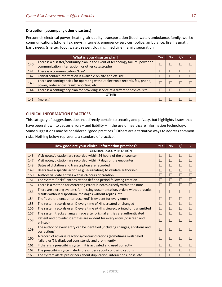### **Disruption (accompany other disasters)**

Personnel; electrical power, heating, air quality; transportation (food, water, ambulance, family, work); communications (phone, fax, news, internet); emergency services (police, ambulance, fire, hazmat); basic needs (shelter, food, water, sewer, clothing, medicine); family separation

|     | What is your disaster plan?                                                      | Yes | No. | $+/-$ |  |  |
|-----|----------------------------------------------------------------------------------|-----|-----|-------|--|--|
| 140 | There is a disaster/continuity plan in the event of technology failure, power or |     |     |       |  |  |
|     | communication interruption, or other catastrophe                                 |     |     |       |  |  |
| 141 | There is a communication "tree"                                                  |     |     |       |  |  |
| 142 | Critical contact information is available on-site and off-site                   |     |     |       |  |  |
| 143 | There are contingencies for operating without electronic records, fax, phone,    |     |     |       |  |  |
|     | power, order entry, result reporting, etc.                                       |     |     |       |  |  |
| 144 | There is a contingency plan for providing service at a different physical site   |     |     |       |  |  |
|     | <b>OTHER</b>                                                                     |     |     |       |  |  |
| 145 | (more)                                                                           |     |     |       |  |  |

## <span id="page-16-0"></span>**CLINICAL INFORMATION PRACTICES**

This category of suggestions does not directly pertain to security and privacy, but highlights issues that have been shown to causes errors – and liability – in the use of healthcare information technology. Some suggestions may be considered "good practices." Others are alternative ways to address common risks. Nothing below represents a standard of practice.

<span id="page-16-1"></span>

|     | How good are your clinical information practices?                                                                               | Yes.   | <b>No</b>     | $+/-$                    | P      |
|-----|---------------------------------------------------------------------------------------------------------------------------------|--------|---------------|--------------------------|--------|
|     | <b>GENERAL DOCUMENTATION</b>                                                                                                    |        |               |                          |        |
| 146 | Visit notes/dictation are recorded within 24 hours of the encounter                                                             |        |               |                          |        |
| 147 | Visit notes/dictation are recorded within 7 days of the encounter                                                               |        |               | ×.                       |        |
| 148 | Dates of dictation and transcription are recorded                                                                               | $\Box$ | $\mathcal{A}$ | п                        | n.     |
| 149 | Users take a specific action (e.g., e-signature) to validate authorship                                                         | П      |               | П                        | П      |
| 150 | Authors validate entries within 24 hours of creation                                                                            | П      | П             | П                        | П      |
| 151 | The system "locks" entries after a defined period following creation                                                            | П      | $\Box$        | П                        | $\Box$ |
| 152 | There is a method for correcting errors in notes directly within the note                                                       | П      | П             | П                        | П      |
| 153 | There are alerting systems for missing documentation, orders without results,                                                   | $\Box$ | n l           | ш                        | m.     |
|     | results without disposition, messages without replies, etc.                                                                     |        |               |                          |        |
| 154 | The "date-the-encounter-occurred" is evident for every entry                                                                    | П      | П             | П                        | π      |
| 155 | The system records user ID every time ePHI is created or changed                                                                | П      | π             | П                        | П      |
| 156 | The system records user ID every time ePHI is viewed, printed or transmitted                                                    | $\Box$ | $\Box$        | П                        | П      |
| 157 | The system tracks changes made after original entries are authenticated                                                         | П      | П             | П                        | П      |
| 158 | Patient and provider identities are evident for every entry (onscreen and<br>printed)                                           |        | $\Box$        | $\overline{\phantom{a}}$ |        |
| 159 | The author of every entry can be identified (including changes, additions and<br>corrections)                                   | m.     | П             | П                        |        |
| 160 | A record of adverse reactions/contraindications (sometimes mislabeled<br>"allergies") is displayed consistently and prominently | П      | П             | $\Box$                   | П      |
| 161 | If there is a prescribing system, it is activated and used correctly                                                            | $\Box$ | $\Box$        | $\Box$                   | П      |
| 162 | The prescribing system alerts prescribers about contraindications                                                               | П      | □             | п                        |        |
| 163 | The system alerts prescribers about duplication, interactions, dose, etc.                                                       |        |               | ×                        |        |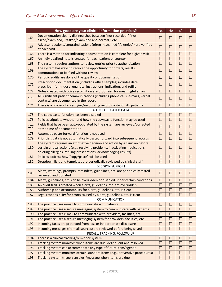|     | How good are your clinical information practices?                                                                        | Yes                      | <b>No</b> | $+/-$  | $\overline{?}$ |
|-----|--------------------------------------------------------------------------------------------------------------------------|--------------------------|-----------|--------|----------------|
| 164 | Documentation clearly distinguishes between "not recorded," "not                                                         | $\Box$                   | $\Box$    | $\Box$ | $\Box$         |
|     | asked/examined," "asked/examined and normal," etc.                                                                       |                          |           |        |                |
| 165 | Adverse reactions/contraindications (often misnamed "Allergies") are verified<br>at each visit                           | a.                       | $\Box$    | $\Box$ | $\Box$         |
| 166 | There is a method for indicating documentation is complete for a given visit                                             | П                        | П         | $\Box$ | $\Box$         |
| 167 | An individualized note is created for each patient encounter                                                             | П                        | П         | $\Box$ | $\Box$         |
| 168 | The system requires authors to review entries prior to authentication                                                    | $\Box$                   | $\Box$    | $\Box$ | $\Box$         |
| 169 | The system has ways to reduce the opportunity for orders, results,<br>commutations to be filed without review            | $\Box$                   | $\Box$    | $\Box$ | $\Box$         |
| 170 | Periodic audits are done of the quality of documentation                                                                 | П                        | П         | $\Box$ | $\Box$         |
|     | Prescription documentation (including office samples) includes date,                                                     |                          |           |        |                |
| 171 | prescriber, form, dose, quantity, instructions, indication, and refills                                                  | П                        | $\Box$    | $\Box$ | $\Box$         |
| 172 | Notes created with voice recognition are proofread for meaningful errors                                                 | П                        | $\Box$    | П      | $\Box$         |
| 173 | All significant patient communications (including phone calls, e-mails, verbal<br>contacts) are documented in the record | $\Box$                   | □         | $\Box$ | $\Box$         |
| 174 | There is a process for verifying/reconciling record content with patients                                                |                          | $\Box$    | П      | П              |
|     | AUTO-POPULATED DATA                                                                                                      |                          |           |        |                |
| 175 | The copy/paste function has been disabled                                                                                | П                        | ΓI        | $\Box$ | $\Box$         |
| 176 | Policies stipulate whether and how the copy/paste function may be used                                                   | $\Box$                   | П         | П      | П              |
|     | Fields that have been auto-populated by the system are reviewed/corrected                                                |                          |           |        |                |
| 177 | at the time of documentation                                                                                             | $\Box$                   | $\Box$    | $\Box$ | $\Box$         |
| 178 | Automatic paste-forward function is not used                                                                             | П                        | П         | $\Box$ | $\Box$         |
| 179 | Prior visit data is not automatically pasted forward into subsequent records                                             | П                        | П         | $\Box$ | $\Box$         |
|     | The system requires an affirmative decision and action by a clinician before                                             |                          |           |        |                |
| 180 | certain critical actions (e.g., resolving problems, inactivating medications,                                            | $\overline{\phantom{a}}$ | $\Box$    | $\Box$ | $\Box$         |
|     | deleting allergies, refilling prescriptions, acknowledging results)                                                      | П                        |           |        |                |
| 181 | Policies address how "copy/paste" will be used                                                                           |                          | П         | $\Box$ | □              |
| 182 | Dropdown lists and templates are periodically reviewed by clinical staff                                                 |                          | П         | П      | □              |
|     | <b>DECISION SUPPORT</b><br>Alerts, warnings, prompts, reminders, guidelines, etc. are periodically tested,               |                          |           |        |                |
| 183 | reviewed and updated                                                                                                     | П                        | $\Box$    | $\Box$ | $\Box$         |
| 184 | Alerts, guidelines, etc. can be overridden or disabled under certain conditions                                          | П                        | П         | П      | $\Box$         |
| 185 | An audit trail is created when alerts, guidelines, etc. are overridden                                                   | П                        | П         | П      | $\Box$         |
| 186 | Authorship and accountability for alerts, guidelines, etc. is clear                                                      | $\Box$                   | $\Box$    | $\Box$ | $\Box$         |
| 187 | Legal responsibility for errors caused by alerts, guidelines, etc. is clear                                              | П                        | П         | П      | $\Box$         |
|     | COMMUNICATION                                                                                                            |                          |           |        |                |
| 188 | The practice uses e-mail to communicate with patients                                                                    | $\Box$                   | $\Box$    | $\Box$ | ⊔              |
| 189 | The practice uses a secure messaging system to communicate with patients                                                 | $\Box$                   | $\Box$    | $\Box$ | $\Box$         |
| 190 | The practice uses e-mail to communicate with providers, facilities, etc.                                                 |                          | Ш         | $\Box$ | ⊔              |
| 191 | The practice uses a secure messaging system for providers, facilities, etc.                                              | $\Box$                   | П         | $\Box$ | $\Box$         |
| 192 | Incoming faxes are protected from loss or inappropriate disclosure                                                       | $\Box$                   | $\Box$    | □      | $\Box$         |
| 193 | Incoming messages (from all sources) are reviewed before being saved                                                     | П                        | П         | $\Box$ | $\Box$         |
|     | RECALL, TRACKING, FOLLOW-UP                                                                                              |                          |           |        |                |
| 194 | There is a clinical tracking/reminder system                                                                             | a.                       | ×         | ×.     | $\Box$         |
| 195 | Tracking system monitors when items are due, delinquent and resolved                                                     | $\Box$                   | П         | П      | $\Box$         |
| 196 | Tracking system can accommodate any type of future item/agenda                                                           | П                        | $\Box$    | $\Box$ | $\Box$         |
| 197 | Tracking system monitors certain standard items (e.g., preventive procedures)                                            | $\Box$                   | $\Box$    | $\Box$ | $\Box$         |
| 198 | Tracking system triggers an alert/message when items are due                                                             | $\Box$                   | $\Box$    | $\Box$ | $\Box$         |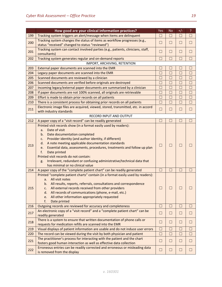| How good are your clinical information practices?<br>199<br>Tracking system triggers an alert/message when items are delinquent<br>$\Box$<br>$\vert \ \ \vert$<br>$\mathbf{L}$<br>Tracking system changes the status of items as workflow progresses (e.g.,<br>200<br>$\Box$<br>$\Box$<br>□<br>status "received" changed to status "reviewed")<br>Tracking system can contact involved parties (e.g., patients, clinicians, staff,<br>201<br>$\Box$<br>ш<br>ш<br>consultants)<br>202<br>Tracking system generates regular and on-demand reports<br>П<br>П<br>П<br>IMPORT, ARCHIVING, RETENTION | $\Box$<br>$\Box$<br>П<br>П |
|------------------------------------------------------------------------------------------------------------------------------------------------------------------------------------------------------------------------------------------------------------------------------------------------------------------------------------------------------------------------------------------------------------------------------------------------------------------------------------------------------------------------------------------------------------------------------------------------|----------------------------|
|                                                                                                                                                                                                                                                                                                                                                                                                                                                                                                                                                                                                |                            |
|                                                                                                                                                                                                                                                                                                                                                                                                                                                                                                                                                                                                |                            |
|                                                                                                                                                                                                                                                                                                                                                                                                                                                                                                                                                                                                |                            |
|                                                                                                                                                                                                                                                                                                                                                                                                                                                                                                                                                                                                |                            |
|                                                                                                                                                                                                                                                                                                                                                                                                                                                                                                                                                                                                |                            |
|                                                                                                                                                                                                                                                                                                                                                                                                                                                                                                                                                                                                |                            |
| 203<br>External paper documents are scanned into the EMR<br>×.<br>a l<br>Ш                                                                                                                                                                                                                                                                                                                                                                                                                                                                                                                     | Ш                          |
| П<br>204<br>Legacy paper documents are scanned into the EMR<br>П<br>$\Box$                                                                                                                                                                                                                                                                                                                                                                                                                                                                                                                     | $\Box$                     |
| 205<br>П<br>Scanned documents are reviewed by a clinician<br>П<br>П                                                                                                                                                                                                                                                                                                                                                                                                                                                                                                                            | П                          |
| П<br>П<br>П<br>206<br>Scanned documents are verified before originals are destroyed                                                                                                                                                                                                                                                                                                                                                                                                                                                                                                            | П                          |
| 207<br>Incoming legacy/external paper documents are summarized by a clinician<br>П<br>ш                                                                                                                                                                                                                                                                                                                                                                                                                                                                                                        | $\Box$                     |
| If paper documents are not 100% scanned, all originals are retrievable<br>$\Box$<br>$\Box$<br>208<br>$\Box$                                                                                                                                                                                                                                                                                                                                                                                                                                                                                    | $\Box$                     |
| 209<br>Effort is made to obtain prior records on all patients<br>П<br>П<br>П                                                                                                                                                                                                                                                                                                                                                                                                                                                                                                                   | $\Box$                     |
| There is a consistent process for obtaining prior records on all patients<br>П<br>210<br>П<br>П                                                                                                                                                                                                                                                                                                                                                                                                                                                                                                | $\Box$                     |
| Electronic image files are acquired, viewed, stored, transmitted, etc. in accord                                                                                                                                                                                                                                                                                                                                                                                                                                                                                                               |                            |
| 211<br>$\Box$<br>$\Box$<br>$\Box$<br>with industry standards                                                                                                                                                                                                                                                                                                                                                                                                                                                                                                                                   | $\Box$                     |
| RECORD INPUT AND OUTPUT                                                                                                                                                                                                                                                                                                                                                                                                                                                                                                                                                                        |                            |
| 212<br>A paper copy of a "visit record" can be readily generated<br>П<br>m.<br>$\Box$                                                                                                                                                                                                                                                                                                                                                                                                                                                                                                          | П                          |
| Printed visit records show (in a format easily used by readers):                                                                                                                                                                                                                                                                                                                                                                                                                                                                                                                               |                            |
| Date of visit<br>a.                                                                                                                                                                                                                                                                                                                                                                                                                                                                                                                                                                            |                            |
| Date documentation completed<br>b.                                                                                                                                                                                                                                                                                                                                                                                                                                                                                                                                                             |                            |
| Provider identity (and author identity, if different)<br>c.                                                                                                                                                                                                                                                                                                                                                                                                                                                                                                                                    |                            |
| A note meeting applicable documentation standards<br>d.<br>213<br>$\Box$<br>$\Box$<br>$\Box$                                                                                                                                                                                                                                                                                                                                                                                                                                                                                                   |                            |
| Essential data, assessments, procedures, treatments and follow up plan<br>e.                                                                                                                                                                                                                                                                                                                                                                                                                                                                                                                   |                            |
| f.<br>Date printed                                                                                                                                                                                                                                                                                                                                                                                                                                                                                                                                                                             |                            |
| Printed visit records do not contain:                                                                                                                                                                                                                                                                                                                                                                                                                                                                                                                                                          |                            |
| Irrelevant, redundant or confusing administrative/technical data that<br>g.<br>has minimal or no clinical value                                                                                                                                                                                                                                                                                                                                                                                                                                                                                |                            |
| A paper copy of the "complete patient chart" can be readily generated<br>214<br>$\Box$<br>П<br>$\Box$                                                                                                                                                                                                                                                                                                                                                                                                                                                                                          | $\Box$                     |
| Printed "complete patient charts" contain (in a format easily used by readers):                                                                                                                                                                                                                                                                                                                                                                                                                                                                                                                |                            |
| All visit notes<br>a.                                                                                                                                                                                                                                                                                                                                                                                                                                                                                                                                                                          |                            |
| All results, reports, referrals, consultations and correspondence<br>b.                                                                                                                                                                                                                                                                                                                                                                                                                                                                                                                        |                            |
| c. All external records received from other providers<br>215<br>$\Box$<br>$\Box$<br>ப                                                                                                                                                                                                                                                                                                                                                                                                                                                                                                          |                            |
| All records of communications (phone, e-mail, etc.)<br>d.                                                                                                                                                                                                                                                                                                                                                                                                                                                                                                                                      |                            |
| All other information appropriately requested<br>e.                                                                                                                                                                                                                                                                                                                                                                                                                                                                                                                                            |                            |
| f.<br>Date printed                                                                                                                                                                                                                                                                                                                                                                                                                                                                                                                                                                             |                            |
| 216<br>Outgoing records are reviewed for accuracy and completeness<br>$\Box$<br>$\Box$<br>$\Box$                                                                                                                                                                                                                                                                                                                                                                                                                                                                                               | $\Box$                     |
| An electronic copy of a "visit record" and a "complete patient chart" can be<br>217<br>$\Box$<br>$\Box$<br>$\Box$                                                                                                                                                                                                                                                                                                                                                                                                                                                                              | $\Box$                     |
| readily generated                                                                                                                                                                                                                                                                                                                                                                                                                                                                                                                                                                              |                            |
| There is a system to ensure that written documentation of phone calls or<br>218<br>$\Box$<br>$\Box$<br>$\Box$                                                                                                                                                                                                                                                                                                                                                                                                                                                                                  | П                          |
| requests for medication refills are scanned into the EMR                                                                                                                                                                                                                                                                                                                                                                                                                                                                                                                                       |                            |
| 219<br>Visual displays of patient information are usable and do not induce user errors<br>$\Box$<br>$\Box$<br>$\Box$                                                                                                                                                                                                                                                                                                                                                                                                                                                                           | Ш                          |
| $\Box$<br>$\Box$<br>220<br>The record can be viewed during the visit by both physician and patient<br>$\Box$                                                                                                                                                                                                                                                                                                                                                                                                                                                                                   | $\Box$                     |
| The practitioner's process for interacting with the patient and the chart<br>221<br>$\Box$<br>$\Box$<br>$\Box$                                                                                                                                                                                                                                                                                                                                                                                                                                                                                 | □                          |
| fosters good human interaction as well as effective data collection                                                                                                                                                                                                                                                                                                                                                                                                                                                                                                                            |                            |
| Erroneous entries can be readily corrected and erroneous or misleading data<br>222<br>$\Box$<br>$\Box$<br>$\Box$<br>is removed from the display                                                                                                                                                                                                                                                                                                                                                                                                                                                | ⊔                          |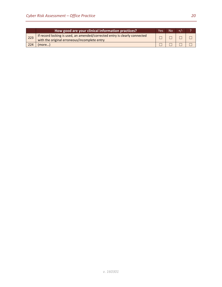|     | How good are your clinical information practices?                                                                          | Yes |  |  |
|-----|----------------------------------------------------------------------------------------------------------------------------|-----|--|--|
| 223 | If record locking is used, an amended/corrected entry is clearly connected<br>with the original erroneous/incomplete entry |     |  |  |
| 224 | more)                                                                                                                      |     |  |  |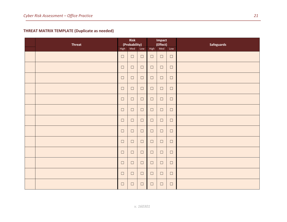# **THREAT MATRIX TEMPLATE (Duplicate as needed)**

<span id="page-20-0"></span>

| <b>Threat</b> | <b>Risk</b><br>(Probability) |        |        | Impact<br>(Effect) |        | <b>Safeguards</b> |  |
|---------------|------------------------------|--------|--------|--------------------|--------|-------------------|--|
|               | High                         | Med    | Low    | High               | Med    | Low               |  |
|               | $\Box$                       | $\Box$ | $\Box$ | $\Box$             | $\Box$ | $\Box$            |  |
|               | $\Box$                       | $\Box$ | $\Box$ | $\Box$             | $\Box$ | $\Box$            |  |
|               | $\Box$                       | $\Box$ | $\Box$ | $\Box$             | $\Box$ | $\Box$            |  |
|               | $\Box$                       | $\Box$ | $\Box$ | $\Box$             | $\Box$ | $\Box$            |  |
|               | $\Box$                       | $\Box$ | $\Box$ | $\Box$             | $\Box$ | $\Box$            |  |
|               | $\Box$                       | $\Box$ | $\Box$ | $\Box$             | $\Box$ | $\Box$            |  |
|               | $\Box$                       | $\Box$ | $\Box$ | $\Box$             | $\Box$ | $\Box$            |  |
|               | $\Box$                       | $\Box$ | $\Box$ | $\Box$             | $\Box$ | $\Box$            |  |
|               | $\Box$                       | $\Box$ | $\Box$ | $\Box$             | $\Box$ | $\Box$            |  |
|               | $\Box$                       | $\Box$ | $\Box$ | $\Box$             | $\Box$ | $\Box$            |  |
|               | $\Box$                       | $\Box$ | $\Box$ | $\Box$             | $\Box$ | $\Box$            |  |
|               | $\Box$                       | $\Box$ | $\Box$ | $\Box$             | $\Box$ | $\Box$            |  |
|               | $\Box$                       | $\Box$ | $\Box$ | $\Box$             | $\Box$ | $\Box$            |  |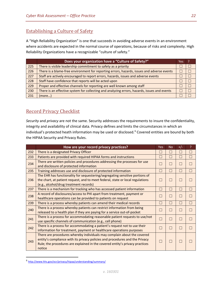# <span id="page-21-0"></span>Establishing a Culture of Safety

A "High Reliability Organization" is one that succeeds in avoiding adverse events in an environment where accidents are expected in the normal course of operations, because of risks and complexity. High Reliability Organizations have a recognizable "culture of safety."

|     | Does your organization have a "Culture of Safety?"                                           | Yes |  |
|-----|----------------------------------------------------------------------------------------------|-----|--|
| 225 | There is visible leadership commitment to safety as a priority                               |     |  |
| 226 | There is a blame-free environment for reporting errors, hazards, issues and adverse events   |     |  |
| 227 | Staff are actively encouraged to report errors, hazards, issues and adverse events           |     |  |
| 228 | Staff have confidence that reports will be acted upon                                        |     |  |
| 229 | Proper and effective channels for reporting are well known among staff                       |     |  |
| 230 | There is an effective system for collecting and analyzing errors, hazards, issues and events |     |  |
| 231 | (more)                                                                                       |     |  |

# <span id="page-21-1"></span>Record Privacy Checklist

*Security* and *privacy* are not the same. Security addresses the requirements to insure the confidentiality, integrity and availability of clinical data. Privacy defines and limits the circumstances in which an individual's protected heath information may be used or disclosed.<sup>[6](#page-21-2)</sup> Covered entities are bound by both the HIPAA Security and Privacy Rules.

|     | How are your record privacy practices?                                                                                                                                                                                                            | <b>Yes</b> | <b>No</b> | $+/-$       | P      |
|-----|---------------------------------------------------------------------------------------------------------------------------------------------------------------------------------------------------------------------------------------------------|------------|-----------|-------------|--------|
| 232 | There is a designated Privacy Officer                                                                                                                                                                                                             |            | $\Box$    |             |        |
| 233 | Patients are provided with required HIPAA forms and instructions                                                                                                                                                                                  |            | П         | П           | □      |
| 234 | There are written policies and procedures addressing the processes for use<br>and disclosure of protected information                                                                                                                             |            |           |             |        |
| 235 | Training addresses use and disclosure of protected information                                                                                                                                                                                    | ×          | П         | П           |        |
| 236 | The EHR has functionality for sequestering/segregating sensitive portions of<br>the chart, at patient request, and to meet federal, state or local regulations<br>(e.g., alcohol/drug treatment records)                                          |            | $\Box$    | ш           |        |
| 237 | There is a mechanism for tracking who has accessed patient information                                                                                                                                                                            | ×          | $\Box$    | H           | $\Box$ |
| 238 | A record of disclosures/access to PHI apart from treatment, payment or<br>healthcare operations can be provided to patients on request                                                                                                            | ×.         | $\Box$    | ш           |        |
| 239 | There is a process whereby patients can amend their medical records                                                                                                                                                                               | ×          | $\Box$    | П           | П      |
| 240 | There is a process whereby patients can restrict information from being<br>released to a health plan if they are paying for a service out-of-pocket                                                                                               |            | $\Box$    | <b>STEP</b> |        |
| 241 | There is a process for accommodating reasonable patient requests to use/not<br>use specific channels of communication (e.g., cell phone)                                                                                                          | ×          | $\Box$    | П           |        |
| 242 | There is a process for accommodating a patient's request not to use their<br>information for treatment, payment or healthcare operations purposes                                                                                                 |            | $\Box$    | $\Box$      |        |
| 243 | There are procedures whereby individuals may complain about the covered<br>entity's compliance with its privacy policies and procedures and the Privacy<br>Rule; the procedures are explained in the covered entity's privacy practices<br>notice |            | $\Box$    |             |        |

<span id="page-21-2"></span> <sup>6</sup> <http://www.hhs.gov/ocr/privacy/hipaa/understanding/summary/>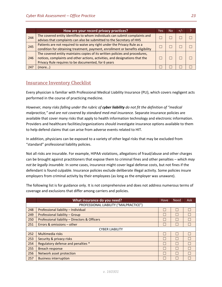|     | How are your record privacy practices?                                         | Yes | No | $+/-$ |  |
|-----|--------------------------------------------------------------------------------|-----|----|-------|--|
| 244 | The covered entity identifies to whom individuals can submit complaints and    |     |    |       |  |
|     | advises that complaints can also be submitted to the Secretary of HHS          |     |    |       |  |
| 245 | Patients are not required to waive any right under the Privacy Rule as a       |     |    |       |  |
|     | condition for obtaining treatment, payment, enrollment or benefits eligibility |     |    |       |  |
|     | The covered entity maintains copies of its written policies and procedures,    |     |    |       |  |
| 246 | notices, complaints and other actions, activities, and designations that the   |     |    |       |  |
|     | Privacy Rule requires to be documented, for 6 years                            |     |    |       |  |
| 247 | (more                                                                          |     |    |       |  |

# <span id="page-22-0"></span>Insurance Inventory Checklist

Every physician is familiar with Professional Medical Liability Insurance (PLI), which covers negligent acts performed in the course of practicing medicine.

*However, many risks falling under the rubric of cyber liability do not fit the definition of "medical malpractice," and are not covered by standard med-mal insurance.* Separate insurance policies are available that cover many risks that apply to health information technology and electronic information. Providers and healthcare facilities/organizations should investigate insurance options available to them to help defend claims that can arise from adverse events related to HIT.

In addition, physicians can be exposed to a variety of other legal risks that may be excluded from "standard" professional liability policies.

Not all risks are insurable. For example, HIPAA violations, allegations of fraud/abuse and other charges can be brought against practitioners that expose them to criminal fines and other penalties – *which may not be legally insurable.* In some cases, insurance might cover legal defense costs, but not fines if the defendant is found culpable. Insurance policies exclude deliberate illegal activity. Some policies insure employers from criminal activity by their employees (as long as the employer was unaware).

The following list is for guidance only. It is not comprehensive and does not address numerous terms of coverage and exclusions that differ among carriers and policies.

|     | What insurance do you need?                   | Have | <b>Need</b> | <b>Ask</b> |  |
|-----|-----------------------------------------------|------|-------------|------------|--|
|     | PROFESSIONAL LIABILITY ("MALPRACTICE")        |      |             |            |  |
| 248 | Professional liability - Individual           |      |             |            |  |
| 249 | Professional liability - Group                |      | L           |            |  |
| 250 | Professional liability - Directors & Officers |      |             |            |  |
| 251 | Errors & omissions - other                    |      |             |            |  |
|     | <b>CYBER LIABILITY</b>                        |      |             |            |  |
| 252 | Multimedia risks                              |      | L           |            |  |
| 253 | Security & privacy risks                      |      | L           | H          |  |
| 254 | Regulatory defense and penalties *            |      |             |            |  |
| 255 | Breach response                               |      |             |            |  |
| 256 | <b>Network asset protection</b>               |      |             |            |  |
| 257 | <b>Business interruption</b>                  |      |             |            |  |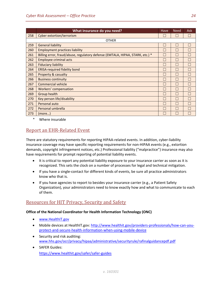|     | What insurance do you need?                                                   | Have         | <b>Need</b> | <b>Ask</b> |
|-----|-------------------------------------------------------------------------------|--------------|-------------|------------|
| 258 | <b>Cyber extortion/terrorism</b>                                              |              |             |            |
|     | <b>OTHER</b>                                                                  |              |             |            |
| 259 | <b>General liability</b>                                                      | $\mathbf{L}$ | H           | П          |
| 260 | <b>Employment practices liability</b>                                         |              | $\Box$      | П          |
| 261 | Billing error, fraud/abuse, regulatory defense (EMTALA, HIPAA, STARK, etc.) * |              |             | L.         |
| 262 | <b>Employee criminal acts</b>                                                 |              | H           | L.         |
| 263 | <b>Fiduciary liability</b>                                                    |              | H           | L.         |
| 264 | <b>ERISA-required fidelity bond</b>                                           |              | H           |            |
| 265 | <b>Property &amp; casualty</b>                                                |              |             |            |
| 266 | <b>Business continuity</b>                                                    |              | $\Box$      |            |
| 267 | Commercial vehicle                                                            |              | H           | L          |
| 268 | Workers' compensation                                                         | L            | П           | L          |
| 269 | Group health                                                                  |              | П           | П          |
| 270 | Key person life/disability                                                    | $\mathbf{L}$ | $\Box$      | П          |
| 271 | Personal auto                                                                 |              | H           | П          |
| 272 | Personal umbrella                                                             |              | H           | a s        |
| 273 | (more)                                                                        |              |             |            |

\* Where insurable

# <span id="page-23-0"></span>Report an EHR-Related Event

There are statutory requirements for reporting HIPAA-related events. In addition, cyber-liability insurance coverage may have specific reporting requirements for non-HIPAA events (e.g., extortion demands, copyright infringement notices, etc.) Professional liability ("malpractice") insurance may also have requirements for prompt reporting of potential liability events.

- It is critical to report any potential liability exposure to your insurance carrier as soon as it is recognized. This sets the clock on a number of processes for legal and technical mitigation.
- If you have a single-contact for different kinds of events, be sure all practice administrators know who that is.
- If you have agencies to report to besides your insurance carrier (e.g., a Patient Safety Organization), your administrators need to know exactly how and what to communicate to each of them.

# <span id="page-23-1"></span>Resources for HIT Privacy, Security and Safety

## **Office of the National Coordinator for Health Information Technology (ONC)**

- [www.HealthIT.gov](http://www.healthit.gov/)
- Mobile devices at HealthIT.gov: [http://www.healthit.gov/providers-professionals/how-can-you](http://www.healthit.gov/providers-professionals/how-can-you-protect-and-secure-health-information-when-using-mobile-device)[protect-and-secure-health-information-when-using-mobile-device](http://www.healthit.gov/providers-professionals/how-can-you-protect-and-secure-health-information-when-using-mobile-device)
- Security and risk auditing: [www.hhs.gov/ocr/privacy/hipaa/administrative/securityrule/rafinalguidancepdf.pdf](http://www.hhs.gov/ocr/privacy/hipaa/administrative/securityrule/rafinalguidancepdf.pdf)
- SAFER Guides: <https://www.healthit.gov/safer/safer-guides>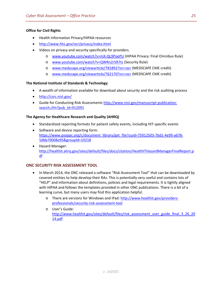## **Office for Civil Rights**

- Health Information Privacy/HIPAA resources
- <http://www.hhs.gov/ocr/privacy/index.html>
- Videos on privacy and security specifically for providers.
	- o [www.youtube.com/watch?v=mX-QL9PoePU](http://www.youtube.com/watch?v=mX-QL9PoePU) (HIPAA Privacy: Final Omnibus Rule)
	- o [www.youtube.com/watch?v=QWRn2r5R7ts](http://www.youtube.com/watch?v=QWRn2r5R7ts) (Security Rule)
	- o [www.medscape.org/viewarticle/781892?src=ocr](http://www.medscape.org/viewarticle/781892?src=ocr) (MEDSCAPE CME credit)
	- o [www.medscape.org/viewarticle/762170?src=ocr](http://www.medscape.org/viewarticle/762170?src=ocr) (MEDSCAPE CME credit)

## **The National Institute of Standards & Technology**

- A wealth of information available for download about security and the risk auditing process
- <http://csrc.nist.gov/>
- Guide for Conducting Risk Assessments [http://www.nist.gov/manuscript-publication](http://www.nist.gov/manuscript-publication-search.cfm?pub_id=912091)[search.cfm?pub\\_id=912091](http://www.nist.gov/manuscript-publication-search.cfm?pub_id=912091)

## **The Agency for Healthcare Research and Quality (AHRQ)**

- Standardized reporting formats for patient safety events, including HIT-specific events
- Software and device reporting form: [https://www.psoppc.org/c/document\\_library/get\\_file?uuid=75912503-7bd1-4e99-a678-](https://www.psoppc.org/c/document_library/get_file?uuid=75912503-7bd1-4e99-a678-5dbb70008e95&groupId=10218) [5dbb70008e95&groupId=10218](https://www.psoppc.org/c/document_library/get_file?uuid=75912503-7bd1-4e99-a678-5dbb70008e95&groupId=10218)
- Hazard Manager: [http://healthit.ahrq.gov/sites/default/files/docs/citation/HealthITHazardManagerFinalReport.p](http://healthit.ahrq.gov/sites/default/files/docs/citation/HealthITHazardManagerFinalReport.pdf) [df](http://healthit.ahrq.gov/sites/default/files/docs/citation/HealthITHazardManagerFinalReport.pdf)

# <span id="page-24-0"></span>**ONC SECURITY RISK ASSESSMENT TOOL**

- <span id="page-24-1"></span>• In March 2014, the ONC released a software "Risk Assessment Tool" that can be downloaded by covered entities to help develop their RAs. This is potentially very useful and contains lots of "HELP" and information about definitions, policies and legal requirements. It is tightly aligned with HIPAA and follows the templates provided in other ONC publications. There is a bit of a learning curve, but many users may find this application helpful.
	- o There are versions for Windows and iPad[: http://www.healthit.gov/providers](http://www.healthit.gov/providers-professionals/security-risk-assessment-tool)[professionals/security-risk-assessment-tool](http://www.healthit.gov/providers-professionals/security-risk-assessment-tool)
	- o User's Guide: [http://www.healthit.gov/sites/default/files/risk\\_assessment\\_user\\_guide\\_final\\_3\\_26\\_20](http://www.healthit.gov/sites/default/files/risk_assessment_user_guide_final_3_26_2014.pdf) [14.pdf](http://www.healthit.gov/sites/default/files/risk_assessment_user_guide_final_3_26_2014.pdf)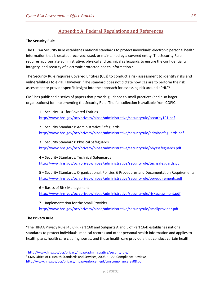# Appendix A: Federal Regulations and References

### <span id="page-25-0"></span>**The Security Rule**

The HIPAA Security Rule establishes national standards to protect individuals' electronic personal health information that is created, received, used, or maintained by a covered entity. The Security Rule requires appropriate administrative, physical and technical safeguards to ensure the confidentiality, integrity, and security of electronic protected health information.<sup>[7](#page-26-0)</sup>

The Security Rule requires Covered Entities (CEs) to conduct a risk assessment to identify risks and vulnerabilities to ePHI. However, "The standard does not dictate how CEs are to perform the risk assessment or provide specific insight into the approach for assessing risk around ePHI."<sup>[8](#page-26-1)</sup>

CMS has published a series of papers that provide guidance to small practices (and also larger organizations) for implementing the Security Rule. The full collection is available from COPIC.

1 – Security 101 for Covered Entities <http://www.hhs.gov/ocr/privacy/hipaa/administrative/securityrule/security101.pdf>

2 – Security Standards: Administrative Safeguards <http://www.hhs.gov/ocr/privacy/hipaa/administrative/securityrule/adminsafeguards.pdf>

3 – Security Standards: Physical Safeguards <http://www.hhs.gov/ocr/privacy/hipaa/administrative/securityrule/physsafeguards.pdf>

4 – Security Standards: Technical Safeguards <http://www.hhs.gov/ocr/privacy/hipaa/administrative/securityrule/techsafeguards.pdf>

5 – Security Standards: Organizational, Policies & Procedures and Documentation Requirements <http://www.hhs.gov/ocr/privacy/hipaa/administrative/securityrule/pprequirements.pdf>

6 – Basics of Risk Management <http://www.hhs.gov/ocr/privacy/hipaa/administrative/securityrule/riskassessment.pdf>

7 – Implementation for the Small Provider <http://www.hhs.gov/ocr/privacy/hipaa/administrative/securityrule/smallprovider.pdf>

#### **The Privacy Rule**

"The HIPAA Privacy Rule [45 CFR Part 160 and Subparts A and E of Part 164] establishes national standards to protect individuals' medical records and other personal health information and applies to health plans, health care clearinghouses, and those health care providers that conduct certain health

 <sup>7</sup> <http://www.hhs.gov/ocr/privacy/hipaa/administrative/securityrule/>

<sup>8</sup> CMS Office of E-Health Standards and Services, 2008 HIPAA Compliance Reviews, <http://www.hhs.gov/ocr/privacy/hipaa/enforcement/cmscompliancerev08.pdf>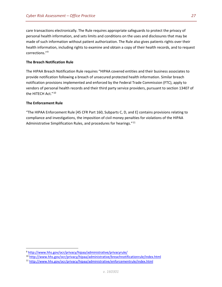care transactions electronically. The Rule requires appropriate safeguards to protect the privacy of personal health information, and sets limits and conditions on the uses and disclosures that may be made of such information without patient authorization. The Rule also gives patients rights over their health information, including rights to examine and obtain a copy of their health records, and to request corrections."[9](#page-27-1)

#### **The Breach Notification Rule**

The HIPAA Breach Notification Rule requires "HIPAA covered entities and their business associates to provide notification following a breach of unsecured protected health information. Similar breach notification provisions implemented and enforced by the Federal Trade Commission (FTC), apply to vendors of personal health records and their third party service providers, pursuant to section 13407 of the HITECH Act."<sup>[10](#page-27-2)</sup>

#### **The Enforcement Rule**

"The HIPAA Enforcement Rule [45 CFR Part 160, Subparts C, D, and E] contains provisions relating to compliance and investigations, the imposition of civil money penalties for violations of the HIPAA Administrative Simplification Rules, and procedures for hearings."<sup>[11](#page-27-3)</sup>

<span id="page-26-0"></span> <sup>9</sup> <http://www.hhs.gov/ocr/privacy/hipaa/administrative/privacyrule/>

<span id="page-26-1"></span><sup>10</sup> <http://www.hhs.gov/ocr/privacy/hipaa/administrative/breachnotificationrule/index.html>

<sup>11</sup> <http://www.hhs.gov/ocr/privacy/hipaa/administrative/enforcementrule/index.html>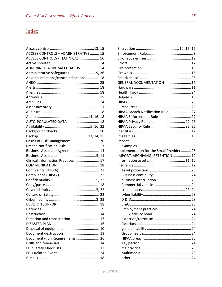# <span id="page-27-0"></span>Index

<span id="page-27-3"></span><span id="page-27-2"></span><span id="page-27-1"></span>

| <b>ACCESS CONTROLS - ADMINISTRATIVE  15</b> |
|---------------------------------------------|
| ACCESS CONTROLS - TECHNICAL 16              |
|                                             |
| ADMININSTRATIVE SAFEGUARDS  14              |
| Administrative Safeguards 9, 26             |
| Adverse reactions/contraindications 18      |
|                                             |
|                                             |
|                                             |
|                                             |
|                                             |
|                                             |
|                                             |
|                                             |
| AUTO-POPULATED DATA  18                     |
|                                             |
|                                             |
|                                             |
| Basics of Risk Management  26               |
|                                             |
| Business Associate Agreements 14            |
|                                             |
| Clinical Information Practices  17          |
|                                             |
|                                             |
|                                             |
|                                             |
|                                             |
|                                             |
|                                             |
|                                             |
|                                             |
|                                             |
|                                             |
| Dictation and transcription 17              |
|                                             |
|                                             |
|                                             |
| Documentation Requirements 26               |
|                                             |
|                                             |
|                                             |
|                                             |
|                                             |

| GENERAL DOCUMENTATION 17                |  |
|-----------------------------------------|--|
|                                         |  |
|                                         |  |
|                                         |  |
|                                         |  |
|                                         |  |
| HIPAA Breach Notification Rule27        |  |
|                                         |  |
| HIPAA Privacy Rule  22, 26              |  |
| HIPAA Security Rule 22, 26              |  |
|                                         |  |
|                                         |  |
|                                         |  |
|                                         |  |
| Implementation for the Small Provider26 |  |
| IMPORT, ARCHIVING, RETENTION 19         |  |
|                                         |  |
|                                         |  |
|                                         |  |
|                                         |  |
|                                         |  |
|                                         |  |
|                                         |  |
|                                         |  |
|                                         |  |
|                                         |  |
| Employment practices  24                |  |
|                                         |  |
|                                         |  |
|                                         |  |
|                                         |  |
|                                         |  |
|                                         |  |
|                                         |  |
|                                         |  |
|                                         |  |
|                                         |  |